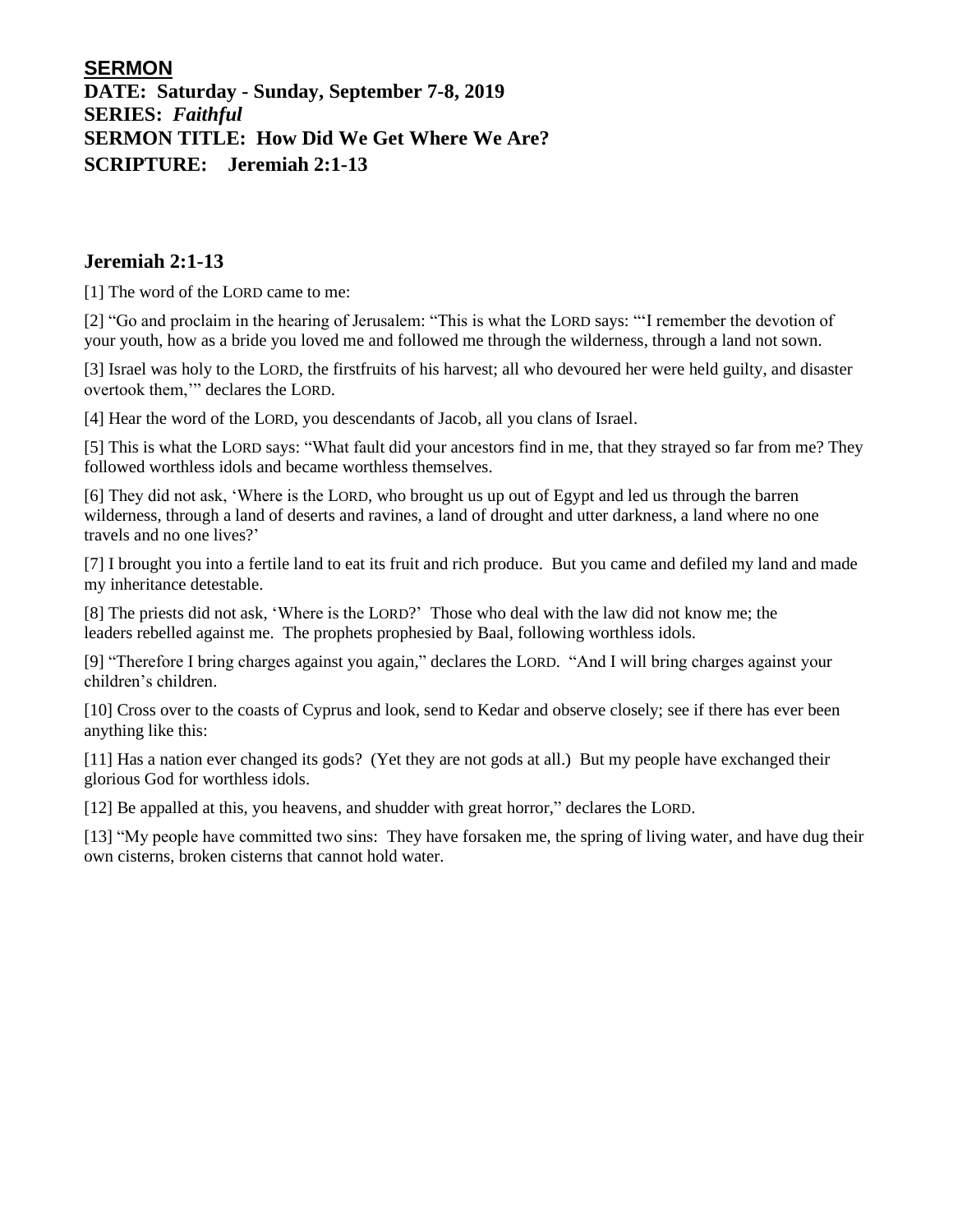## **SERMON**

**DATE: Saturday - Sunday, September 7-8, 2019 SERIES:** *Faithful* **SERMON TITLE: How Did We Get Where We Are? SCRIPTURE: Jeremiah 2:1-13**

#### **Jeremiah 2:1-13**

[1] The word of the LORD came to me:

[2] "Go and proclaim in the hearing of Jerusalem: "This is what the LORD says: "'I remember the devotion of your youth, how as a bride you loved me and followed me through the wilderness, through a land not sown.

[3] Israel was holy to the LORD, the firstfruits of his harvest; all who devoured her were held guilty, and disaster overtook them,'" declares the LORD.

[4] Hear the word of the LORD, you descendants of Jacob, all you clans of Israel.

[5] This is what the LORD says: "What fault did your ancestors find in me, that they strayed so far from me? They followed worthless idols and became worthless themselves.

[6] They did not ask, 'Where is the LORD, who brought us up out of Egypt and led us through the barren wilderness, through a land of deserts and ravines, a land of drought and utter darkness, a land where no one travels and no one lives?'

[7] I brought you into a fertile land to eat its fruit and rich produce. But you came and defiled my land and made my inheritance detestable.

[8] The priests did not ask, 'Where is the LORD?' Those who deal with the law did not know me; the leaders rebelled against me. The prophets prophesied by Baal, following worthless idols.

[9] "Therefore I bring charges against you again," declares the LORD. "And I will bring charges against your children's children.

[10] Cross over to the coasts of Cyprus and look, send to Kedar and observe closely; see if there has ever been anything like this:

[11] Has a nation ever changed its gods? (Yet they are not gods at all.) But my people have exchanged their glorious God for worthless idols.

[12] Be appalled at this, you heavens, and shudder with great horror," declares the LORD.

[13] "My people have committed two sins: They have forsaken me, the spring of living water, and have dug their own cisterns, broken cisterns that cannot hold water.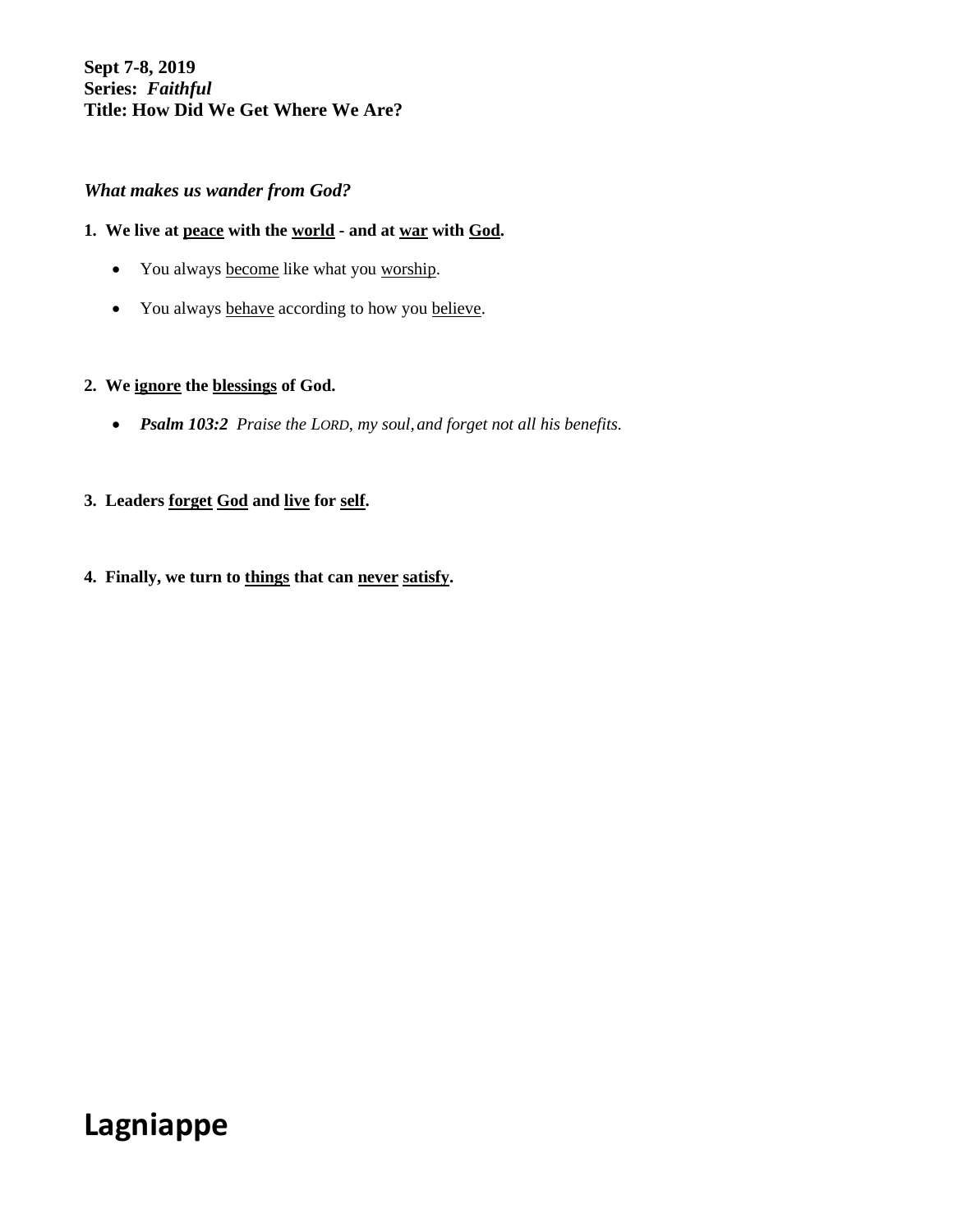## **Sept 7-8, 2019 Series:** *Faithful* **Title: How Did We Get Where We Are?**

## *What makes us wander from God?*

### **1. We live at peace with the world - and at war with God.**

- You always become like what you worship.
- You always behave according to how you believe.

#### **2. We ignore the blessings of God.**

• *Psalm 103:2 Praise the LORD, my soul,and forget not all his benefits.*

### **3. Leaders forget God and live for self.**

#### **4. Finally, we turn to things that can never satisfy.**

# **Lagniappe**